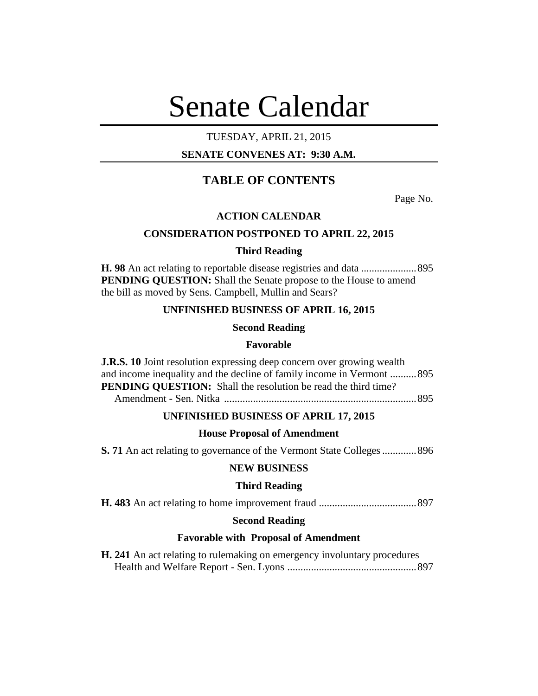# Senate Calendar

# TUESDAY, APRIL 21, 2015

## **SENATE CONVENES AT: 9:30 A.M.**

# **TABLE OF CONTENTS**

Page No.

## **ACTION CALENDAR**

## **CONSIDERATION POSTPONED TO APRIL 22, 2015**

## **Third Reading**

**H. 98** An act relating to reportable disease registries and data .....................895 **PENDING QUESTION:** Shall the Senate propose to the House to amend the bill as moved by Sens. Campbell, Mullin and Sears?

## **UNFINISHED BUSINESS OF APRIL 16, 2015**

## **Second Reading**

## **Favorable**

**J.R.S. 10** Joint resolution expressing deep concern over growing wealth and income inequality and the decline of family income in Vermont ..........895 **PENDING OUESTION:** Shall the resolution be read the third time? Amendment - Sen. Nitka .........................................................................895

## **UNFINISHED BUSINESS OF APRIL 17, 2015**

## **House Proposal of Amendment**

**S. 71** An act relating to governance of the Vermont State Colleges.............896

## **NEW BUSINESS**

## **Third Reading**

**H. 483** An act relating to home improvement fraud .....................................897

## **Second Reading**

## **Favorable with Proposal of Amendment**

|  |  | H. 241 An act relating to rulemaking on emergency involuntary procedures |  |
|--|--|--------------------------------------------------------------------------|--|
|  |  |                                                                          |  |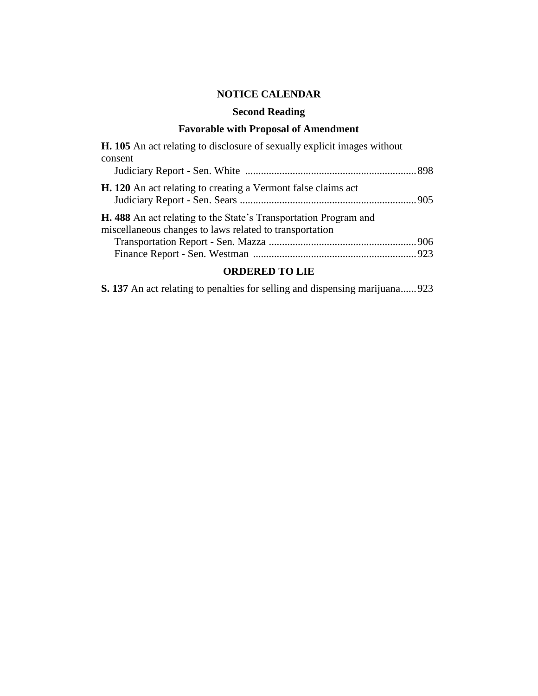# **NOTICE CALENDAR**

# **Second Reading**

# **Favorable with Proposal of Amendment**

| <b>H. 105</b> An act relating to disclosure of sexually explicit images without                                                    |  |
|------------------------------------------------------------------------------------------------------------------------------------|--|
| consent                                                                                                                            |  |
| H. 120 An act relating to creating a Vermont false claims act                                                                      |  |
| <b>H. 488</b> An act relating to the State's Transportation Program and<br>miscellaneous changes to laws related to transportation |  |
|                                                                                                                                    |  |

# **ORDERED TO LIE**

**S. 137** An act relating to penalties for selling and dispensing marijuana......923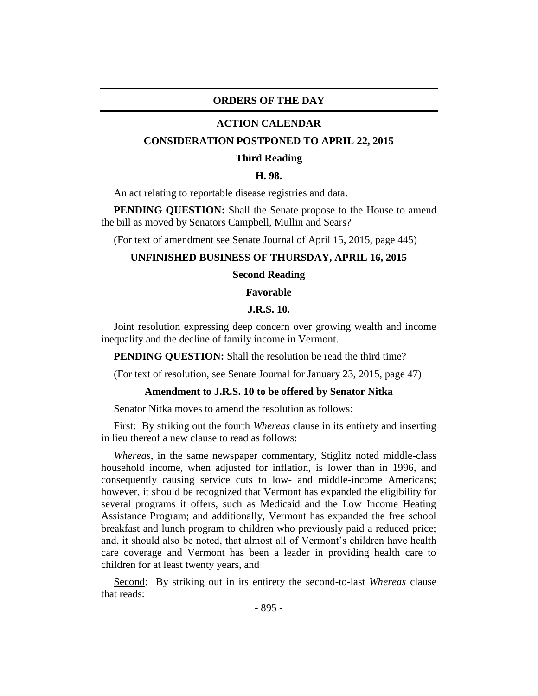#### **ORDERS OF THE DAY**

#### **ACTION CALENDAR**

#### **CONSIDERATION POSTPONED TO APRIL 22, 2015**

#### **Third Reading**

#### **H. 98.**

An act relating to reportable disease registries and data.

**PENDING QUESTION:** Shall the Senate propose to the House to amend the bill as moved by Senators Campbell, Mullin and Sears?

(For text of amendment see Senate Journal of April 15, 2015, page 445)

#### **UNFINISHED BUSINESS OF THURSDAY, APRIL 16, 2015**

#### **Second Reading**

#### **Favorable**

#### **J.R.S. 10.**

Joint resolution expressing deep concern over growing wealth and income inequality and the decline of family income in Vermont.

**PENDING QUESTION:** Shall the resolution be read the third time?

(For text of resolution, see Senate Journal for January 23, 2015, page 47)

#### **Amendment to J.R.S. 10 to be offered by Senator Nitka**

Senator Nitka moves to amend the resolution as follows:

First: By striking out the fourth *Whereas* clause in its entirety and inserting in lieu thereof a new clause to read as follows:

*Whereas*, in the same newspaper commentary, Stiglitz noted middle-class household income, when adjusted for inflation, is lower than in 1996, and consequently causing service cuts to low- and middle-income Americans; however, it should be recognized that Vermont has expanded the eligibility for several programs it offers, such as Medicaid and the Low Income Heating Assistance Program; and additionally, Vermont has expanded the free school breakfast and lunch program to children who previously paid a reduced price; and, it should also be noted, that almost all of Vermont's children have health care coverage and Vermont has been a leader in providing health care to children for at least twenty years, and

Second: By striking out in its entirety the second-to-last *Whereas* clause that reads: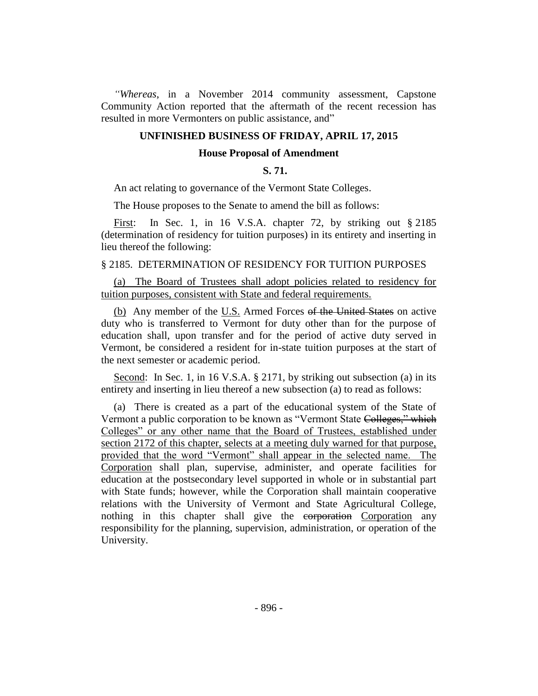*"Whereas*, in a November 2014 community assessment, Capstone Community Action reported that the aftermath of the recent recession has resulted in more Vermonters on public assistance, and"

## **UNFINISHED BUSINESS OF FRIDAY, APRIL 17, 2015**

## **House Proposal of Amendment**

#### **S. 71.**

An act relating to governance of the Vermont State Colleges.

The House proposes to the Senate to amend the bill as follows:

First: In Sec. 1, in 16 V.S.A. chapter 72, by striking out § 2185 (determination of residency for tuition purposes) in its entirety and inserting in lieu thereof the following:

## § 2185. DETERMINATION OF RESIDENCY FOR TUITION PURPOSES

(a) The Board of Trustees shall adopt policies related to residency for tuition purposes, consistent with State and federal requirements.

(b) Any member of the U.S. Armed Forces of the United States on active duty who is transferred to Vermont for duty other than for the purpose of education shall, upon transfer and for the period of active duty served in Vermont, be considered a resident for in-state tuition purposes at the start of the next semester or academic period.

Second: In Sec. 1, in 16 V.S.A. § 2171, by striking out subsection (a) in its entirety and inserting in lieu thereof a new subsection (a) to read as follows:

(a) There is created as a part of the educational system of the State of Vermont a public corporation to be known as "Vermont State Colleges," which Colleges" or any other name that the Board of Trustees, established under section 2172 of this chapter, selects at a meeting duly warned for that purpose, provided that the word "Vermont" shall appear in the selected name. The Corporation shall plan, supervise, administer, and operate facilities for education at the postsecondary level supported in whole or in substantial part with State funds; however, while the Corporation shall maintain cooperative relations with the University of Vermont and State Agricultural College, nothing in this chapter shall give the corporation Corporation any responsibility for the planning, supervision, administration, or operation of the University.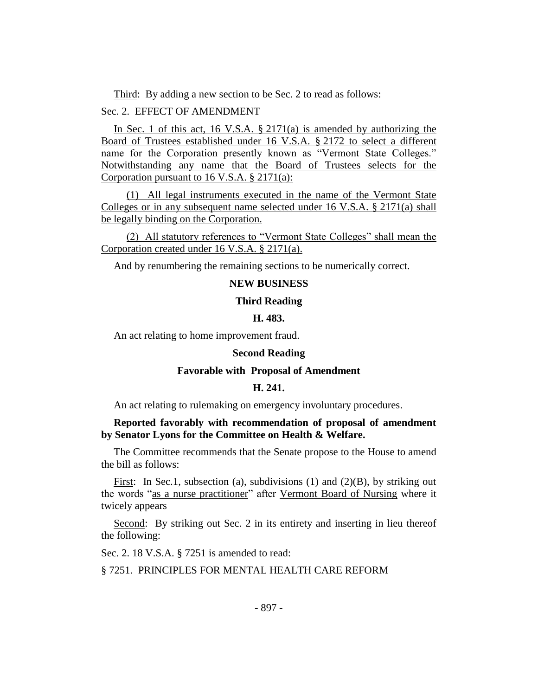Third: By adding a new section to be Sec. 2 to read as follows:

Sec. 2. EFFECT OF AMENDMENT

In Sec. 1 of this act, 16 V.S.A. § 2171(a) is amended by authorizing the Board of Trustees established under 16 V.S.A. § 2172 to select a different name for the Corporation presently known as "Vermont State Colleges." Notwithstanding any name that the Board of Trustees selects for the Corporation pursuant to 16 V.S.A. § 2171(a):

(1) All legal instruments executed in the name of the Vermont State Colleges or in any subsequent name selected under 16 V.S.A. § 2171(a) shall be legally binding on the Corporation.

(2) All statutory references to "Vermont State Colleges" shall mean the Corporation created under 16 V.S.A. § 2171(a).

And by renumbering the remaining sections to be numerically correct.

## **NEW BUSINESS**

#### **Third Reading**

#### **H. 483.**

An act relating to home improvement fraud.

#### **Second Reading**

#### **Favorable with Proposal of Amendment**

#### **H. 241.**

An act relating to rulemaking on emergency involuntary procedures.

## **Reported favorably with recommendation of proposal of amendment by Senator Lyons for the Committee on Health & Welfare.**

The Committee recommends that the Senate propose to the House to amend the bill as follows:

First: In Sec.1, subsection (a), subdivisions (1) and (2)(B), by striking out the words "as a nurse practitioner" after Vermont Board of Nursing where it twicely appears

Second: By striking out Sec. 2 in its entirety and inserting in lieu thereof the following:

Sec. 2. 18 V.S.A. § 7251 is amended to read:

§ 7251. PRINCIPLES FOR MENTAL HEALTH CARE REFORM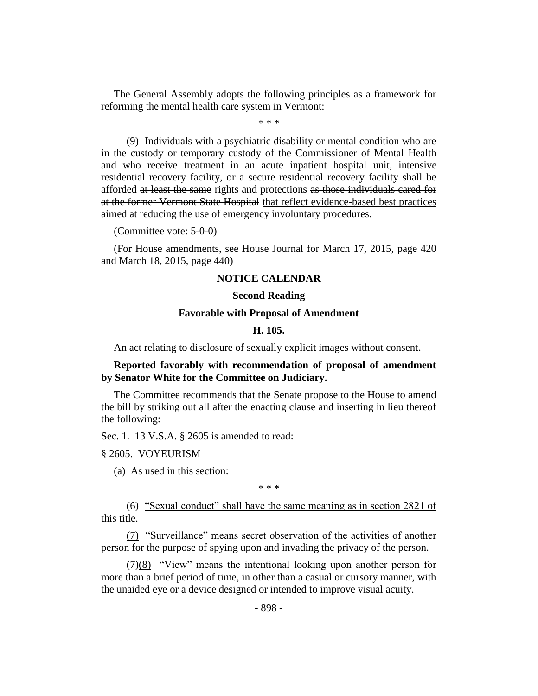The General Assembly adopts the following principles as a framework for reforming the mental health care system in Vermont:

\* \* \*

(9) Individuals with a psychiatric disability or mental condition who are in the custody or temporary custody of the Commissioner of Mental Health and who receive treatment in an acute inpatient hospital unit, intensive residential recovery facility, or a secure residential recovery facility shall be afforded at least the same rights and protections as those individuals cared for at the former Vermont State Hospital that reflect evidence-based best practices aimed at reducing the use of emergency involuntary procedures.

(Committee vote: 5-0-0)

(For House amendments, see House Journal for March 17, 2015, page 420 and March 18, 2015, page 440)

## **NOTICE CALENDAR**

#### **Second Reading**

#### **Favorable with Proposal of Amendment**

#### **H. 105.**

An act relating to disclosure of sexually explicit images without consent.

**Reported favorably with recommendation of proposal of amendment by Senator White for the Committee on Judiciary.**

The Committee recommends that the Senate propose to the House to amend the bill by striking out all after the enacting clause and inserting in lieu thereof the following:

Sec. 1. 13 V.S.A. § 2605 is amended to read:

§ 2605. VOYEURISM

(a) As used in this section:

\* \* \*

(6) "Sexual conduct" shall have the same meaning as in section 2821 of this title.

(7) "Surveillance" means secret observation of the activities of another person for the purpose of spying upon and invading the privacy of the person.

 $(7)(8)$  "View" means the intentional looking upon another person for more than a brief period of time, in other than a casual or cursory manner, with the unaided eye or a device designed or intended to improve visual acuity.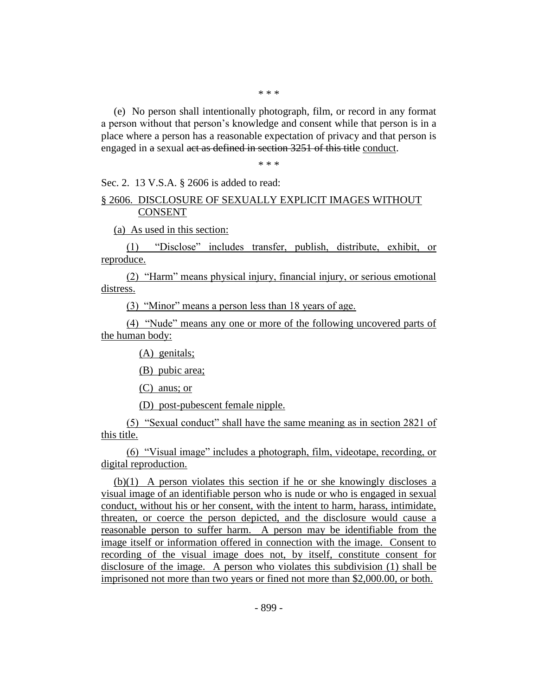\* \* \*

(e) No person shall intentionally photograph, film, or record in any format a person without that person's knowledge and consent while that person is in a place where a person has a reasonable expectation of privacy and that person is engaged in a sexual act as defined in section 3251 of this title conduct.

\* \* \*

Sec. 2. 13 V.S.A. § 2606 is added to read:

## § 2606. DISCLOSURE OF SEXUALLY EXPLICIT IMAGES WITHOUT CONSENT

(a) As used in this section:

(1) "Disclose" includes transfer, publish, distribute, exhibit, or reproduce.

(2) "Harm" means physical injury, financial injury, or serious emotional distress.

(3) "Minor" means a person less than 18 years of age.

(4) "Nude" means any one or more of the following uncovered parts of the human body:

(A) genitals;

(B) pubic area;

(C) anus; or

(D) post-pubescent female nipple.

(5) "Sexual conduct" shall have the same meaning as in section 2821 of this title.

(6) "Visual image" includes a photograph, film, videotape, recording, or digital reproduction.

(b)(1) A person violates this section if he or she knowingly discloses a visual image of an identifiable person who is nude or who is engaged in sexual conduct, without his or her consent, with the intent to harm, harass, intimidate, threaten, or coerce the person depicted, and the disclosure would cause a reasonable person to suffer harm. A person may be identifiable from the image itself or information offered in connection with the image. Consent to recording of the visual image does not, by itself, constitute consent for disclosure of the image. A person who violates this subdivision (1) shall be imprisoned not more than two years or fined not more than \$2,000.00, or both.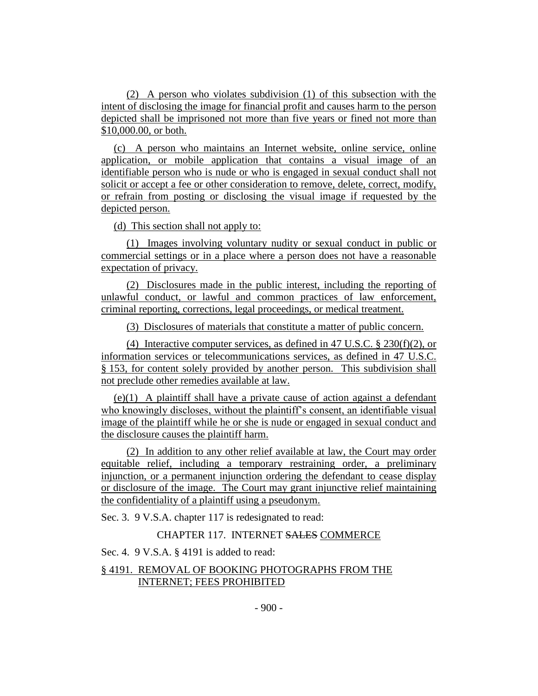(2) A person who violates subdivision (1) of this subsection with the intent of disclosing the image for financial profit and causes harm to the person depicted shall be imprisoned not more than five years or fined not more than \$10,000.00, or both.

(c) A person who maintains an Internet website, online service, online application, or mobile application that contains a visual image of an identifiable person who is nude or who is engaged in sexual conduct shall not solicit or accept a fee or other consideration to remove, delete, correct, modify, or refrain from posting or disclosing the visual image if requested by the depicted person.

(d) This section shall not apply to:

(1) Images involving voluntary nudity or sexual conduct in public or commercial settings or in a place where a person does not have a reasonable expectation of privacy.

(2) Disclosures made in the public interest, including the reporting of unlawful conduct, or lawful and common practices of law enforcement, criminal reporting, corrections, legal proceedings, or medical treatment.

(3) Disclosures of materials that constitute a matter of public concern.

(4) Interactive computer services, as defined in 47 U.S.C. § 230(f)(2), or information services or telecommunications services, as defined in 47 U.S.C. § 153, for content solely provided by another person. This subdivision shall not preclude other remedies available at law.

(e)(1) A plaintiff shall have a private cause of action against a defendant who knowingly discloses, without the plaintiff's consent, an identifiable visual image of the plaintiff while he or she is nude or engaged in sexual conduct and the disclosure causes the plaintiff harm.

(2) In addition to any other relief available at law, the Court may order equitable relief, including a temporary restraining order, a preliminary injunction, or a permanent injunction ordering the defendant to cease display or disclosure of the image. The Court may grant injunctive relief maintaining the confidentiality of a plaintiff using a pseudonym.

Sec. 3. 9 V.S.A. chapter 117 is redesignated to read:

#### CHAPTER 117. INTERNET SALES COMMERCE

Sec. 4. 9 V.S.A. § 4191 is added to read:

## § 4191. REMOVAL OF BOOKING PHOTOGRAPHS FROM THE INTERNET; FEES PROHIBITED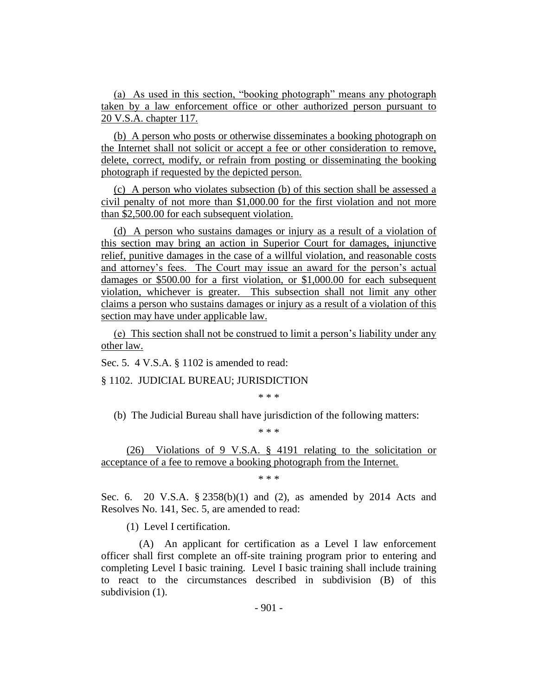(a) As used in this section, "booking photograph" means any photograph taken by a law enforcement office or other authorized person pursuant to 20 V.S.A. chapter 117.

(b) A person who posts or otherwise disseminates a booking photograph on the Internet shall not solicit or accept a fee or other consideration to remove, delete, correct, modify, or refrain from posting or disseminating the booking photograph if requested by the depicted person.

(c) A person who violates subsection (b) of this section shall be assessed a civil penalty of not more than \$1,000.00 for the first violation and not more than \$2,500.00 for each subsequent violation.

(d) A person who sustains damages or injury as a result of a violation of this section may bring an action in Superior Court for damages, injunctive relief, punitive damages in the case of a willful violation, and reasonable costs and attorney's fees. The Court may issue an award for the person's actual damages or \$500.00 for a first violation, or \$1,000.00 for each subsequent violation, whichever is greater. This subsection shall not limit any other claims a person who sustains damages or injury as a result of a violation of this section may have under applicable law.

(e) This section shall not be construed to limit a person's liability under any other law.

Sec. 5. 4 V.S.A. § 1102 is amended to read:

§ 1102. JUDICIAL BUREAU; JURISDICTION

\* \* \*

(b) The Judicial Bureau shall have jurisdiction of the following matters:

\* \* \*

(26) Violations of 9 V.S.A. § 4191 relating to the solicitation or acceptance of a fee to remove a booking photograph from the Internet.

\* \* \*

Sec. 6. 20 V.S.A. § 2358(b)(1) and (2), as amended by 2014 Acts and Resolves No. 141, Sec. 5, are amended to read:

(1) Level I certification.

(A) An applicant for certification as a Level I law enforcement officer shall first complete an off-site training program prior to entering and completing Level I basic training. Level I basic training shall include training to react to the circumstances described in subdivision (B) of this subdivision  $(1)$ .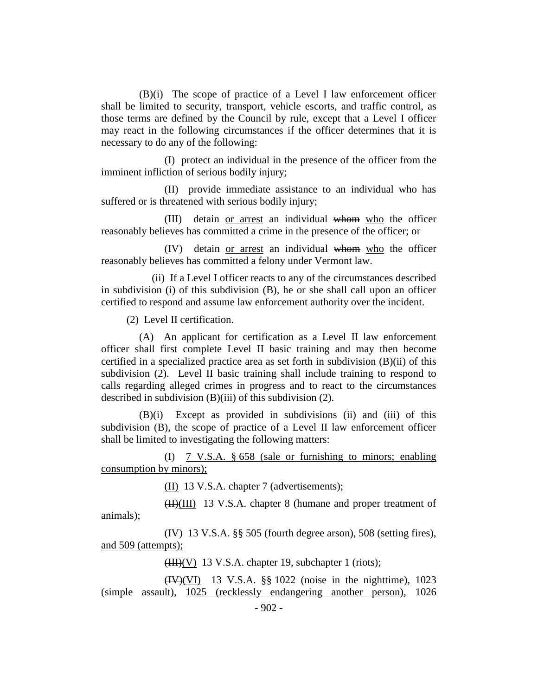(B)(i) The scope of practice of a Level I law enforcement officer shall be limited to security, transport, vehicle escorts, and traffic control, as those terms are defined by the Council by rule, except that a Level I officer may react in the following circumstances if the officer determines that it is necessary to do any of the following:

(I) protect an individual in the presence of the officer from the imminent infliction of serious bodily injury;

(II) provide immediate assistance to an individual who has suffered or is threatened with serious bodily injury;

(III) detain or arrest an individual whom who the officer reasonably believes has committed a crime in the presence of the officer; or

(IV) detain or arrest an individual whom who the officer reasonably believes has committed a felony under Vermont law.

(ii) If a Level I officer reacts to any of the circumstances described in subdivision (i) of this subdivision (B), he or she shall call upon an officer certified to respond and assume law enforcement authority over the incident.

(2) Level II certification.

(A) An applicant for certification as a Level II law enforcement officer shall first complete Level II basic training and may then become certified in a specialized practice area as set forth in subdivision (B)(ii) of this subdivision (2). Level II basic training shall include training to respond to calls regarding alleged crimes in progress and to react to the circumstances described in subdivision (B)(iii) of this subdivision (2).

(B)(i) Except as provided in subdivisions (ii) and (iii) of this subdivision (B), the scope of practice of a Level II law enforcement officer shall be limited to investigating the following matters:

(I) 7 V.S.A. § 658 (sale or furnishing to minors; enabling consumption by minors);

(II) 13 V.S.A. chapter 7 (advertisements);

(II)(III) 13 V.S.A. chapter 8 (humane and proper treatment of animals);

(IV) 13 V.S.A. §§ 505 (fourth degree arson), 508 (setting fires), and 509 (attempts);

 $(HH)(V)$  13 V.S.A. chapter 19, subchapter 1 (riots);

 $(HV)(VI)$  13 V.S.A. §§ 1022 (noise in the nighttime), 1023 (simple assault), 1025 (recklessly endangering another person), 1026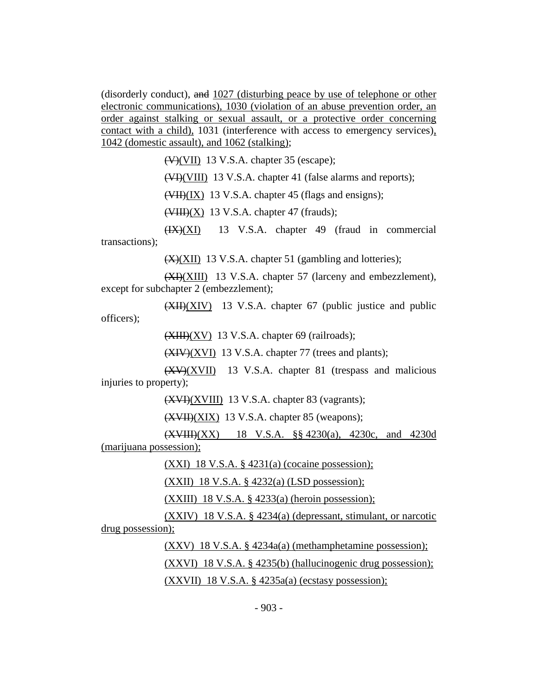(disorderly conduct), and 1027 (disturbing peace by use of telephone or other electronic communications), 1030 (violation of an abuse prevention order, an order against stalking or sexual assault, or a protective order concerning contact with a child), 1031 (interference with access to emergency services), 1042 (domestic assault), and 1062 (stalking);

 $(V)(VII)$  13 V.S.A. chapter 35 (escape);

(VIII) 13 V.S.A. chapter 41 (false alarms and reports);

(VII)(IX) 13 V.S.A. chapter 45 (flags and ensigns);

 $(\overline{\text{VIII}})(X)$  13 V.S.A. chapter 47 (frauds);

 $(HX)(XI)$  13 V.S.A. chapter 49 (fraud in commercial transactions);

(X)(XII) 13 V.S.A. chapter 51 (gambling and lotteries);

(XI)(XIII) 13 V.S.A. chapter 57 (larceny and embezzlement), except for subchapter 2 (embezzlement);

 $(XH)(XIV)$  13 V.S.A. chapter 67 (public justice and public officers);

 $(XIII)(XV)$  13 V.S.A. chapter 69 (railroads);

(XIV)(XVI) 13 V.S.A. chapter 77 (trees and plants);

 $(XV)(XVII)$  13 V.S.A. chapter 81 (trespass and malicious injuries to property);

 $(XVI)(XVIII)$  13 V.S.A. chapter 83 (vagrants);

(XVII)(XIX) 13 V.S.A. chapter 85 (weapons);

(XVIII)(XX) 18 V.S.A. §§ 4230(a), 4230c, and 4230d (marijuana possession);

(XXI) 18 V.S.A. § 4231(a) (cocaine possession);

(XXII) 18 V.S.A. § 4232(a) (LSD possession);

 $(XXIII)$  18 V.S.A. § 4233(a) (heroin possession);

(XXIV) 18 V.S.A. § 4234(a) (depressant, stimulant, or narcotic drug possession);

(XXV) 18 V.S.A. § 4234a(a) (methamphetamine possession);

(XXVI) 18 V.S.A. § 4235(b) (hallucinogenic drug possession);

(XXVII) 18 V.S.A. § 4235a(a) (ecstasy possession);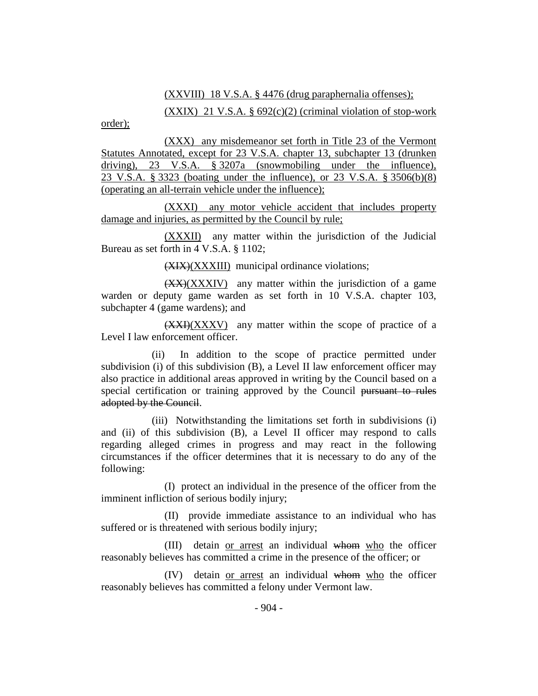## (XXVIII) 18 V.S.A. § 4476 (drug paraphernalia offenses);

 $(XXIX)$  21 V.S.A. § 692 $(c)(2)$  (criminal violation of stop-work

order);

(XXX) any misdemeanor set forth in Title 23 of the Vermont Statutes Annotated, except for 23 V.S.A. chapter 13, subchapter 13 (drunken driving), 23 V.S.A. § 3207a (snowmobiling under the influence), 23 V.S.A. § 3323 (boating under the influence), or 23 V.S.A. § 3506(b)(8) (operating an all-terrain vehicle under the influence);

(XXXI) any motor vehicle accident that includes property damage and injuries, as permitted by the Council by rule;

(XXXII) any matter within the jurisdiction of the Judicial Bureau as set forth in 4 V.S.A. § 1102;

(XIX)(XXXIII) municipal ordinance violations;

 $(XX)(XXXIV)$  any matter within the jurisdiction of a game warden or deputy game warden as set forth in 10 V.S.A. chapter 103, subchapter 4 (game wardens); and

 $(XXI)(XXXV)$  any matter within the scope of practice of a Level I law enforcement officer.

(ii) In addition to the scope of practice permitted under subdivision (i) of this subdivision (B), a Level II law enforcement officer may also practice in additional areas approved in writing by the Council based on a special certification or training approved by the Council pursuant to rules adopted by the Council.

(iii) Notwithstanding the limitations set forth in subdivisions (i) and (ii) of this subdivision (B), a Level II officer may respond to calls regarding alleged crimes in progress and may react in the following circumstances if the officer determines that it is necessary to do any of the following:

(I) protect an individual in the presence of the officer from the imminent infliction of serious bodily injury;

(II) provide immediate assistance to an individual who has suffered or is threatened with serious bodily injury;

(III) detain or arrest an individual whom who the officer reasonably believes has committed a crime in the presence of the officer; or

(IV) detain or arrest an individual whom who the officer reasonably believes has committed a felony under Vermont law.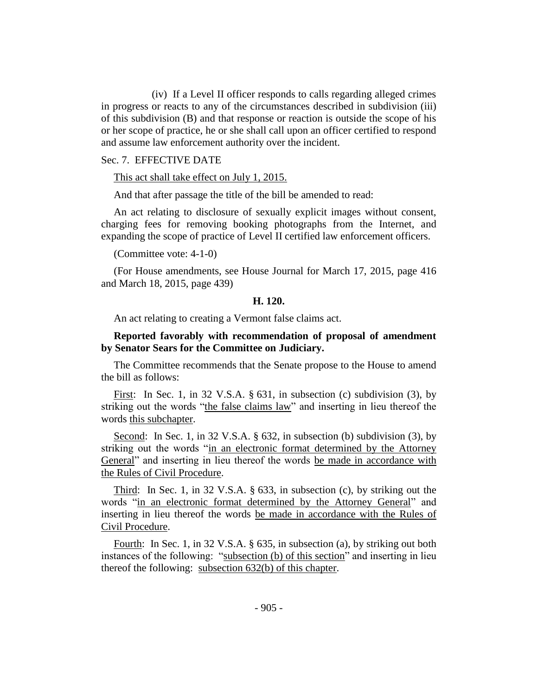(iv) If a Level II officer responds to calls regarding alleged crimes in progress or reacts to any of the circumstances described in subdivision (iii) of this subdivision (B) and that response or reaction is outside the scope of his or her scope of practice, he or she shall call upon an officer certified to respond and assume law enforcement authority over the incident.

## Sec. 7. EFFECTIVE DATE

This act shall take effect on July 1, 2015.

And that after passage the title of the bill be amended to read:

An act relating to disclosure of sexually explicit images without consent, charging fees for removing booking photographs from the Internet, and expanding the scope of practice of Level II certified law enforcement officers.

(Committee vote: 4-1-0)

(For House amendments, see House Journal for March 17, 2015, page 416 and March 18, 2015, page 439)

#### **H. 120.**

An act relating to creating a Vermont false claims act.

## **Reported favorably with recommendation of proposal of amendment by Senator Sears for the Committee on Judiciary.**

The Committee recommends that the Senate propose to the House to amend the bill as follows:

First: In Sec. 1, in 32 V.S.A. § 631, in subsection (c) subdivision (3), by striking out the words "the false claims law" and inserting in lieu thereof the words this subchapter.

Second: In Sec. 1, in 32 V.S.A. § 632, in subsection (b) subdivision (3), by striking out the words "in an electronic format determined by the Attorney General" and inserting in lieu thereof the words be made in accordance with the Rules of Civil Procedure.

Third: In Sec. 1, in 32 V.S.A. § 633, in subsection (c), by striking out the words "in an electronic format determined by the Attorney General" and inserting in lieu thereof the words be made in accordance with the Rules of Civil Procedure.

Fourth: In Sec. 1, in 32 V.S.A. § 635, in subsection (a), by striking out both instances of the following: "subsection (b) of this section" and inserting in lieu thereof the following: subsection 632(b) of this chapter.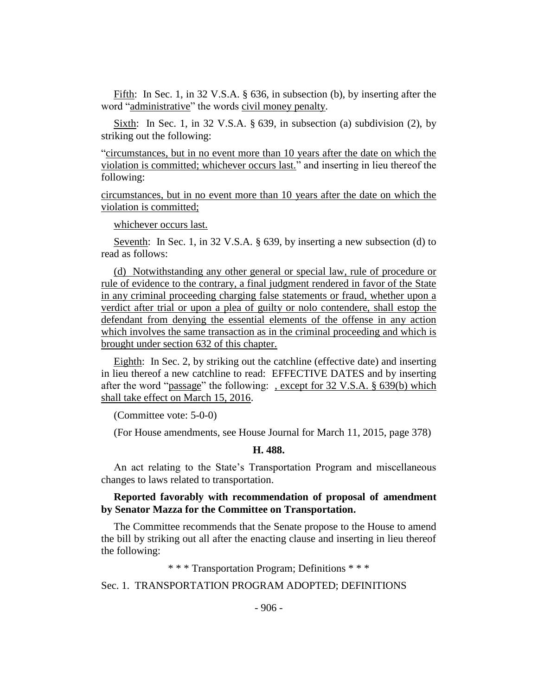Fifth: In Sec. 1, in 32 V.S.A. § 636, in subsection (b), by inserting after the word "administrative" the words civil money penalty.

Sixth: In Sec. 1, in 32 V.S.A. § 639, in subsection (a) subdivision (2), by striking out the following:

"circumstances, but in no event more than 10 years after the date on which the violation is committed; whichever occurs last." and inserting in lieu thereof the following:

circumstances, but in no event more than 10 years after the date on which the violation is committed;

whichever occurs last.

Seventh: In Sec. 1, in 32 V.S.A. § 639, by inserting a new subsection (d) to read as follows:

(d) Notwithstanding any other general or special law, rule of procedure or rule of evidence to the contrary, a final judgment rendered in favor of the State in any criminal proceeding charging false statements or fraud, whether upon a verdict after trial or upon a plea of guilty or nolo contendere, shall estop the defendant from denying the essential elements of the offense in any action which involves the same transaction as in the criminal proceeding and which is brought under section 632 of this chapter.

Eighth: In Sec. 2, by striking out the catchline (effective date) and inserting in lieu thereof a new catchline to read: EFFECTIVE DATES and by inserting after the word "passage" the following: , except for 32 V.S.A. § 639(b) which shall take effect on March 15, 2016.

(Committee vote: 5-0-0)

(For House amendments, see House Journal for March 11, 2015, page 378)

#### **H. 488.**

An act relating to the State's Transportation Program and miscellaneous changes to laws related to transportation.

## **Reported favorably with recommendation of proposal of amendment by Senator Mazza for the Committee on Transportation.**

The Committee recommends that the Senate propose to the House to amend the bill by striking out all after the enacting clause and inserting in lieu thereof the following:

\* \* \* Transportation Program; Definitions \* \* \*

Sec. 1. TRANSPORTATION PROGRAM ADOPTED; DEFINITIONS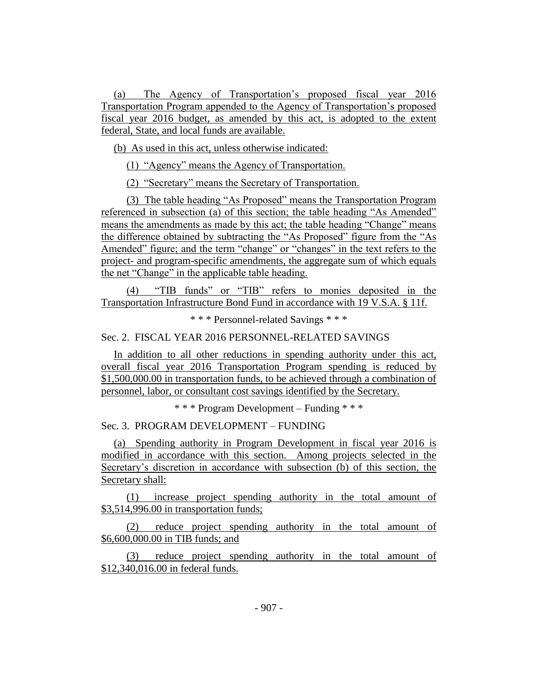(a) The Agency of Transportation's proposed fiscal year 2016 Transportation Program appended to the Agency of Transportation's proposed fiscal year 2016 budget, as amended by this act, is adopted to the extent federal, State, and local funds are available.

(b) As used in this act, unless otherwise indicated:

(1) "Agency" means the Agency of Transportation.

(2) "Secretary" means the Secretary of Transportation.

(3) The table heading "As Proposed" means the Transportation Program referenced in subsection (a) of this section; the table heading "As Amended" means the amendments as made by this act; the table heading "Change" means the difference obtained by subtracting the "As Proposed" figure from the "As Amended" figure; and the term "change" or "changes" in the text refers to the project- and program-specific amendments, the aggregate sum of which equals the net "Change" in the applicable table heading.

(4) "TIB funds" or "TIB" refers to monies deposited in the Transportation Infrastructure Bond Fund in accordance with 19 V.S.A. § 11f.

\* \* \* Personnel-related Savings \* \* \*

Sec. 2. FISCAL YEAR 2016 PERSONNEL-RELATED SAVINGS

In addition to all other reductions in spending authority under this act, overall fiscal year 2016 Transportation Program spending is reduced by \$1,500,000.00 in transportation funds, to be achieved through a combination of personnel, labor, or consultant cost savings identified by the Secretary.

\* \* \* Program Development – Funding \* \* \*

Sec. 3. PROGRAM DEVELOPMENT – FUNDING

(a) Spending authority in Program Development in fiscal year 2016 is modified in accordance with this section. Among projects selected in the Secretary's discretion in accordance with subsection (b) of this section, the Secretary shall:

(1) increase project spending authority in the total amount of \$3,514,996.00 in transportation funds;

(2) reduce project spending authority in the total amount of \$6,600,000.00 in TIB funds; and

(3) reduce project spending authority in the total amount of \$12,340,016.00 in federal funds.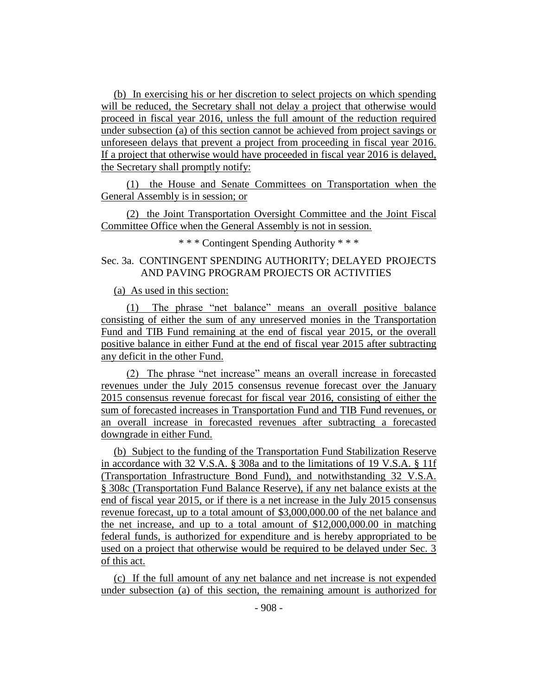(b) In exercising his or her discretion to select projects on which spending will be reduced, the Secretary shall not delay a project that otherwise would proceed in fiscal year 2016, unless the full amount of the reduction required under subsection (a) of this section cannot be achieved from project savings or unforeseen delays that prevent a project from proceeding in fiscal year 2016. If a project that otherwise would have proceeded in fiscal year 2016 is delayed, the Secretary shall promptly notify:

(1) the House and Senate Committees on Transportation when the General Assembly is in session; or

(2) the Joint Transportation Oversight Committee and the Joint Fiscal Committee Office when the General Assembly is not in session.

\* \* \* Contingent Spending Authority \* \* \*

## Sec. 3a. CONTINGENT SPENDING AUTHORITY; DELAYED PROJECTS AND PAVING PROGRAM PROJECTS OR ACTIVITIES

#### (a) As used in this section:

(1) The phrase "net balance" means an overall positive balance consisting of either the sum of any unreserved monies in the Transportation Fund and TIB Fund remaining at the end of fiscal year 2015, or the overall positive balance in either Fund at the end of fiscal year 2015 after subtracting any deficit in the other Fund.

(2) The phrase "net increase" means an overall increase in forecasted revenues under the July 2015 consensus revenue forecast over the January 2015 consensus revenue forecast for fiscal year 2016, consisting of either the sum of forecasted increases in Transportation Fund and TIB Fund revenues, or an overall increase in forecasted revenues after subtracting a forecasted downgrade in either Fund.

(b) Subject to the funding of the Transportation Fund Stabilization Reserve in accordance with 32 V.S.A. § 308a and to the limitations of 19 V.S.A. § 11f (Transportation Infrastructure Bond Fund), and notwithstanding 32 V.S.A. § 308c (Transportation Fund Balance Reserve), if any net balance exists at the end of fiscal year 2015, or if there is a net increase in the July 2015 consensus revenue forecast, up to a total amount of \$3,000,000.00 of the net balance and the net increase, and up to a total amount of \$12,000,000.00 in matching federal funds, is authorized for expenditure and is hereby appropriated to be used on a project that otherwise would be required to be delayed under Sec. 3 of this act.

(c) If the full amount of any net balance and net increase is not expended under subsection (a) of this section, the remaining amount is authorized for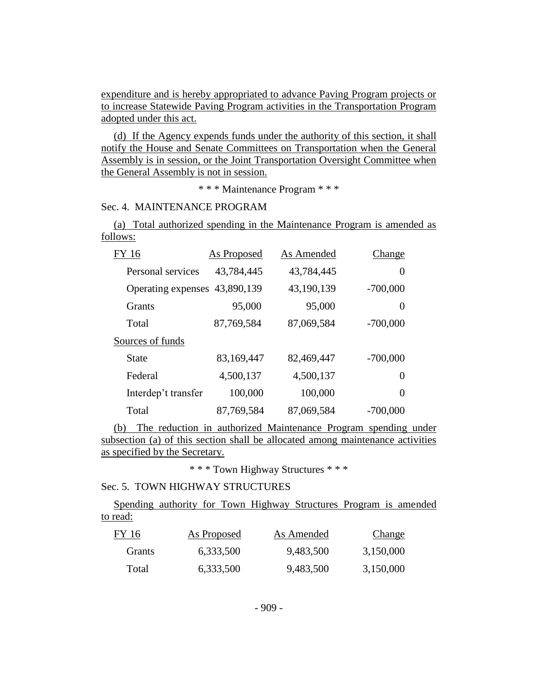expenditure and is hereby appropriated to advance Paving Program projects or to increase Statewide Paving Program activities in the Transportation Program adopted under this act.

(d) If the Agency expends funds under the authority of this section, it shall notify the House and Senate Committees on Transportation when the General Assembly is in session, or the Joint Transportation Oversight Committee when the General Assembly is not in session.

\* \* \* Maintenance Program \* \* \*

## Sec. 4. MAINTENANCE PROGRAM

(a) Total authorized spending in the Maintenance Program is amended as follows:

| FY 16                         | <b>As Proposed</b> | As Amended | Change         |
|-------------------------------|--------------------|------------|----------------|
| Personal services             | 43,784,445         | 43,784,445 | 0              |
| Operating expenses 43,890,139 |                    | 43,190,139 | $-700,000$     |
| <b>Grants</b>                 | 95,000             | 95,000     | $\overline{0}$ |
| Total                         | 87,769,584         | 87,069,584 | $-700,000$     |
| Sources of funds              |                    |            |                |
| State                         | 83,169,447         | 82,469,447 | $-700,000$     |
| Federal                       | 4,500,137          | 4,500,137  | 0              |
| Interdep't transfer           | 100,000            | 100,000    | 0              |
| Total                         | 87,769,584         | 87,069,584 | $-700,000$     |

(b) The reduction in authorized Maintenance Program spending under subsection (a) of this section shall be allocated among maintenance activities as specified by the Secretary.

\* \* \* Town Highway Structures \* \* \*

## Sec. 5. TOWN HIGHWAY STRUCTURES

Spending authority for Town Highway Structures Program is amended to read:

| FY 16         | <b>As Proposed</b> | As Amended | <b>Change</b> |
|---------------|--------------------|------------|---------------|
| <b>Grants</b> | 6,333,500          | 9,483,500  | 3,150,000     |
| Total         | 6,333,500          | 9,483,500  | 3,150,000     |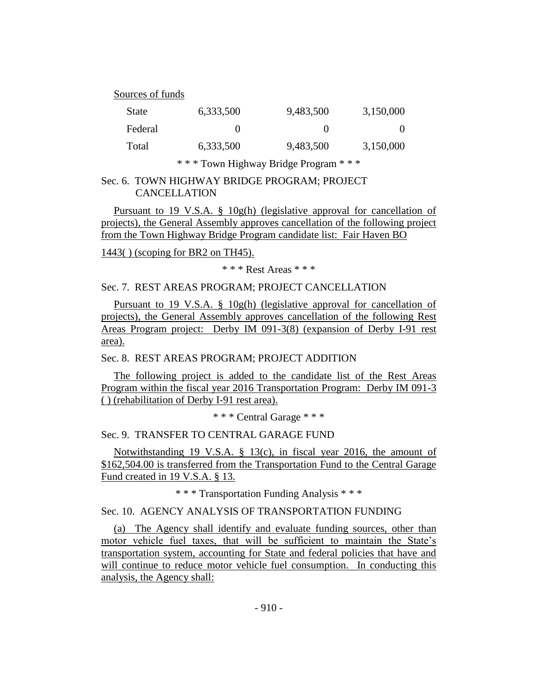Sources of funds

| <b>State</b> | 6,333,500 | 9,483,500 | 3,150,000 |
|--------------|-----------|-----------|-----------|
| Federal      |           |           | $\Omega$  |
| Total        | 6,333,500 | 9,483,500 | 3,150,000 |

\* \* \* Town Highway Bridge Program \* \* \*

Sec. 6. TOWN HIGHWAY BRIDGE PROGRAM; PROJECT CANCELLATION

Pursuant to 19 V.S.A. § 10g(h) (legislative approval for cancellation of projects), the General Assembly approves cancellation of the following project from the Town Highway Bridge Program candidate list: Fair Haven BO

1443( ) (scoping for BR2 on TH45).

\* \* \* Rest Areas \* \* \*

Sec. 7. REST AREAS PROGRAM; PROJECT CANCELLATION

Pursuant to 19 V.S.A. § 10g(h) (legislative approval for cancellation of projects), the General Assembly approves cancellation of the following Rest Areas Program project: Derby IM 091-3(8) (expansion of Derby I-91 rest area).

Sec. 8. REST AREAS PROGRAM; PROJECT ADDITION

The following project is added to the candidate list of the Rest Areas Program within the fiscal year 2016 Transportation Program: Derby IM 091-3 ( ) (rehabilitation of Derby I-91 rest area).

\* \* \* Central Garage \* \* \*

Sec. 9. TRANSFER TO CENTRAL GARAGE FUND

Notwithstanding 19 V.S.A. § 13(c), in fiscal year 2016, the amount of \$162,504.00 is transferred from the Transportation Fund to the Central Garage Fund created in 19 V.S.A. § 13.

\* \* \* Transportation Funding Analysis \* \* \*

Sec. 10. AGENCY ANALYSIS OF TRANSPORTATION FUNDING

(a) The Agency shall identify and evaluate funding sources, other than motor vehicle fuel taxes, that will be sufficient to maintain the State's transportation system, accounting for State and federal policies that have and will continue to reduce motor vehicle fuel consumption. In conducting this analysis, the Agency shall: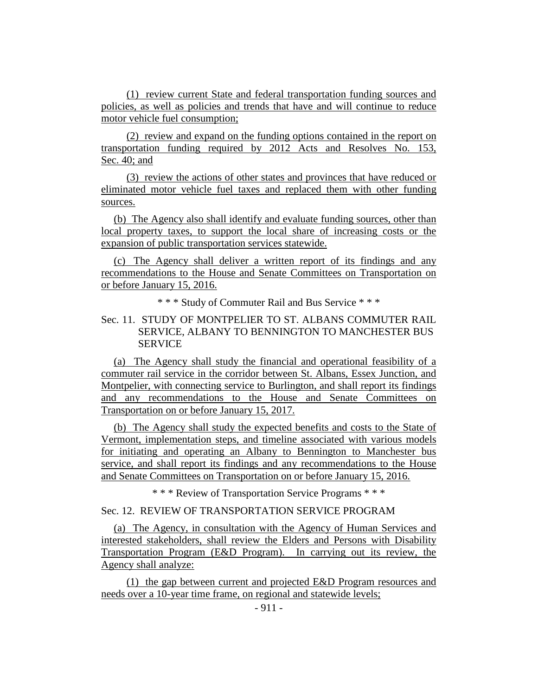(1) review current State and federal transportation funding sources and policies, as well as policies and trends that have and will continue to reduce motor vehicle fuel consumption;

(2) review and expand on the funding options contained in the report on transportation funding required by 2012 Acts and Resolves No. 153, Sec. 40; and

(3) review the actions of other states and provinces that have reduced or eliminated motor vehicle fuel taxes and replaced them with other funding sources.

(b) The Agency also shall identify and evaluate funding sources, other than local property taxes, to support the local share of increasing costs or the expansion of public transportation services statewide.

(c) The Agency shall deliver a written report of its findings and any recommendations to the House and Senate Committees on Transportation on or before January 15, 2016.

\* \* \* Study of Commuter Rail and Bus Service \* \* \*

## Sec. 11. STUDY OF MONTPELIER TO ST. ALBANS COMMUTER RAIL SERVICE, ALBANY TO BENNINGTON TO MANCHESTER BUS **SERVICE**

(a) The Agency shall study the financial and operational feasibility of a commuter rail service in the corridor between St. Albans, Essex Junction, and Montpelier, with connecting service to Burlington, and shall report its findings and any recommendations to the House and Senate Committees on Transportation on or before January 15, 2017.

(b) The Agency shall study the expected benefits and costs to the State of Vermont, implementation steps, and timeline associated with various models for initiating and operating an Albany to Bennington to Manchester bus service, and shall report its findings and any recommendations to the House and Senate Committees on Transportation on or before January 15, 2016.

\* \* \* Review of Transportation Service Programs \* \* \*

## Sec. 12. REVIEW OF TRANSPORTATION SERVICE PROGRAM

(a) The Agency, in consultation with the Agency of Human Services and interested stakeholders, shall review the Elders and Persons with Disability Transportation Program (E&D Program). In carrying out its review, the Agency shall analyze:

(1) the gap between current and projected E&D Program resources and needs over a 10-year time frame, on regional and statewide levels;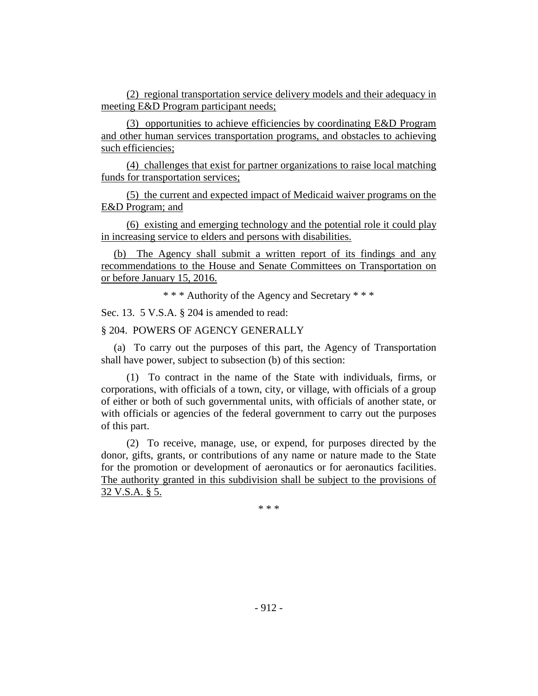(2) regional transportation service delivery models and their adequacy in meeting E&D Program participant needs;

(3) opportunities to achieve efficiencies by coordinating E&D Program and other human services transportation programs, and obstacles to achieving such efficiencies;

(4) challenges that exist for partner organizations to raise local matching funds for transportation services;

(5) the current and expected impact of Medicaid waiver programs on the E&D Program; and

(6) existing and emerging technology and the potential role it could play in increasing service to elders and persons with disabilities.

(b) The Agency shall submit a written report of its findings and any recommendations to the House and Senate Committees on Transportation on or before January 15, 2016.

\* \* \* Authority of the Agency and Secretary \* \* \*

Sec. 13. 5 V.S.A. § 204 is amended to read:

## § 204. POWERS OF AGENCY GENERALLY

(a) To carry out the purposes of this part, the Agency of Transportation shall have power, subject to subsection (b) of this section:

(1) To contract in the name of the State with individuals, firms, or corporations, with officials of a town, city, or village, with officials of a group of either or both of such governmental units, with officials of another state, or with officials or agencies of the federal government to carry out the purposes of this part.

(2) To receive, manage, use, or expend, for purposes directed by the donor, gifts, grants, or contributions of any name or nature made to the State for the promotion or development of aeronautics or for aeronautics facilities. The authority granted in this subdivision shall be subject to the provisions of 32 V.S.A. § 5.

\* \* \*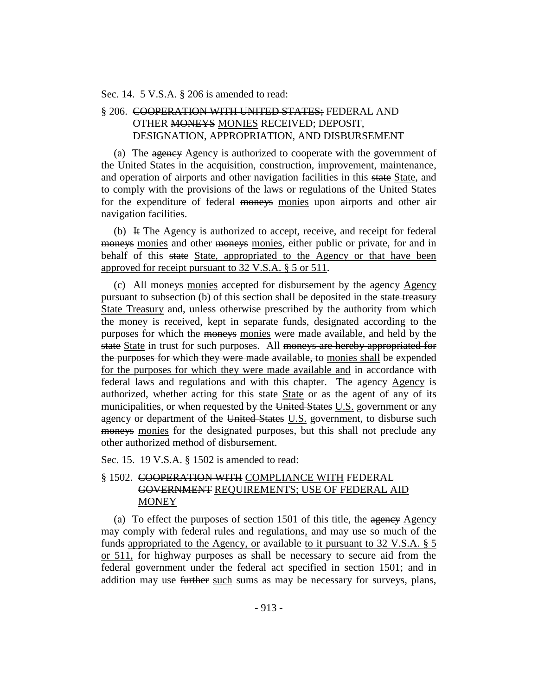Sec. 14. 5 V.S.A. § 206 is amended to read:

## § 206. COOPERATION WITH UNITED STATES; FEDERAL AND OTHER MONEYS MONIES RECEIVED; DEPOSIT, DESIGNATION, APPROPRIATION, AND DISBURSEMENT

(a) The agency Agency is authorized to cooperate with the government of the United States in the acquisition, construction, improvement, maintenance, and operation of airports and other navigation facilities in this state State, and to comply with the provisions of the laws or regulations of the United States for the expenditure of federal moneys monies upon airports and other air navigation facilities.

(b) It The Agency is authorized to accept, receive, and receipt for federal moneys monies and other moneys monies, either public or private, for and in behalf of this state State, appropriated to the Agency or that have been approved for receipt pursuant to 32 V.S.A. § 5 or 511.

(c) All moneys monies accepted for disbursement by the agency Agency pursuant to subsection (b) of this section shall be deposited in the state treasury State Treasury and, unless otherwise prescribed by the authority from which the money is received, kept in separate funds, designated according to the purposes for which the moneys monies were made available, and held by the state State in trust for such purposes. All moneys are hereby appropriated for the purposes for which they were made available, to monies shall be expended for the purposes for which they were made available and in accordance with federal laws and regulations and with this chapter. The agency Agency is authorized, whether acting for this state State or as the agent of any of its municipalities, or when requested by the United States U.S. government or any agency or department of the United States U.S. government, to disburse such moneys monies for the designated purposes, but this shall not preclude any other authorized method of disbursement.

Sec. 15. 19 V.S.A. § 1502 is amended to read:

## § 1502. COOPERATION WITH COMPLIANCE WITH FEDERAL GOVERNMENT REQUIREMENTS; USE OF FEDERAL AID MONEY

(a) To effect the purposes of section 1501 of this title, the agency Agency may comply with federal rules and regulations, and may use so much of the funds appropriated to the Agency, or available to it pursuant to 32 V.S.A. § 5 or 511, for highway purposes as shall be necessary to secure aid from the federal government under the federal act specified in section 1501; and in addition may use further such sums as may be necessary for surveys, plans,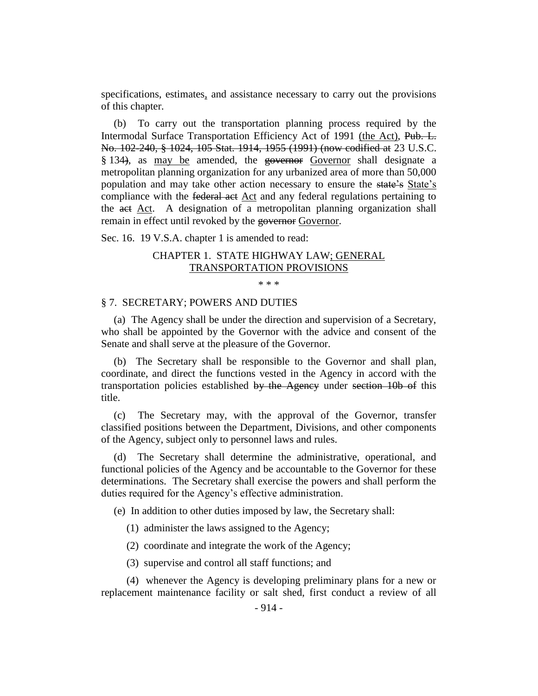specifications, estimates, and assistance necessary to carry out the provisions of this chapter.

(b) To carry out the transportation planning process required by the Intermodal Surface Transportation Efficiency Act of 1991 (the Act), Pub. L. No. 102-240, § 1024, 105 Stat. 1914, 1955 (1991) (now codified at 23 U.S.C. § 134), as may be amended, the governor Governor shall designate a metropolitan planning organization for any urbanized area of more than 50,000 population and may take other action necessary to ensure the state's State's compliance with the federal act Act and any federal regulations pertaining to the act Act. A designation of a metropolitan planning organization shall remain in effect until revoked by the governor Governor.

Sec. 16. 19 V.S.A. chapter 1 is amended to read:

## CHAPTER 1. STATE HIGHWAY LAW; GENERAL TRANSPORTATION PROVISIONS

\* \* \*

#### § 7. SECRETARY; POWERS AND DUTIES

(a) The Agency shall be under the direction and supervision of a Secretary, who shall be appointed by the Governor with the advice and consent of the Senate and shall serve at the pleasure of the Governor.

(b) The Secretary shall be responsible to the Governor and shall plan, coordinate, and direct the functions vested in the Agency in accord with the transportation policies established by the Agency under section 10b of this title.

(c) The Secretary may, with the approval of the Governor, transfer classified positions between the Department, Divisions, and other components of the Agency, subject only to personnel laws and rules.

(d) The Secretary shall determine the administrative, operational, and functional policies of the Agency and be accountable to the Governor for these determinations. The Secretary shall exercise the powers and shall perform the duties required for the Agency's effective administration.

(e) In addition to other duties imposed by law, the Secretary shall:

(1) administer the laws assigned to the Agency;

(2) coordinate and integrate the work of the Agency;

(3) supervise and control all staff functions; and

(4) whenever the Agency is developing preliminary plans for a new or replacement maintenance facility or salt shed, first conduct a review of all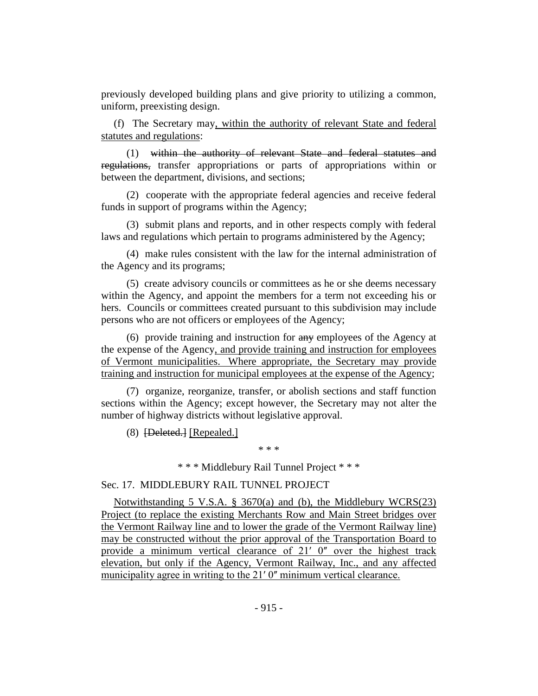previously developed building plans and give priority to utilizing a common, uniform, preexisting design.

(f) The Secretary may, within the authority of relevant State and federal statutes and regulations:

(1) within the authority of relevant State and federal statutes and regulations, transfer appropriations or parts of appropriations within or between the department, divisions, and sections;

(2) cooperate with the appropriate federal agencies and receive federal funds in support of programs within the Agency;

(3) submit plans and reports, and in other respects comply with federal laws and regulations which pertain to programs administered by the Agency;

(4) make rules consistent with the law for the internal administration of the Agency and its programs;

(5) create advisory councils or committees as he or she deems necessary within the Agency, and appoint the members for a term not exceeding his or hers. Councils or committees created pursuant to this subdivision may include persons who are not officers or employees of the Agency;

(6) provide training and instruction for any employees of the Agency at the expense of the Agency, and provide training and instruction for employees of Vermont municipalities. Where appropriate, the Secretary may provide training and instruction for municipal employees at the expense of the Agency;

(7) organize, reorganize, transfer, or abolish sections and staff function sections within the Agency; except however, the Secretary may not alter the number of highway districts without legislative approval.

(8) [Deleted.] [Repealed.]

\* \* \*

\* \* \* Middlebury Rail Tunnel Project \* \* \*

#### Sec. 17. MIDDLEBURY RAIL TUNNEL PROJECT

Notwithstanding 5 V.S.A. § 3670(a) and (b), the Middlebury WCRS(23) Project (to replace the existing Merchants Row and Main Street bridges over the Vermont Railway line and to lower the grade of the Vermont Railway line) may be constructed without the prior approval of the Transportation Board to provide a minimum vertical clearance of  $21'$  0" over the highest track elevation, but only if the Agency, Vermont Railway, Inc., and any affected municipality agree in writing to the 21' 0" minimum vertical clearance.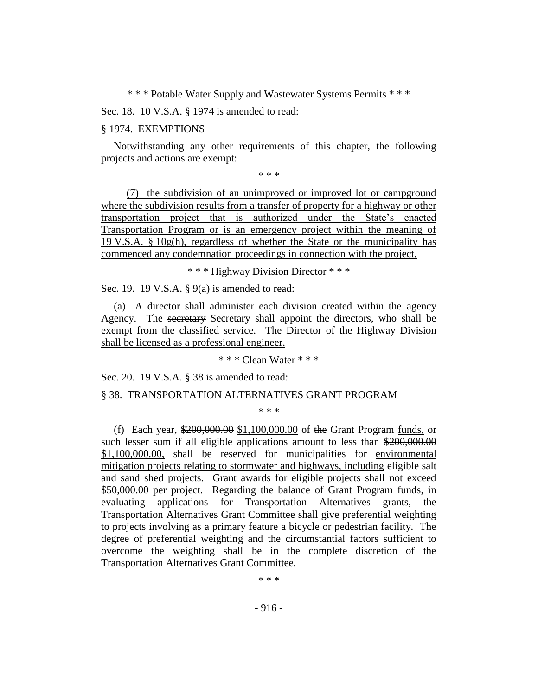\* \* \* Potable Water Supply and Wastewater Systems Permits \* \* \*

Sec. 18. 10 V.S.A. § 1974 is amended to read:

#### § 1974. EXEMPTIONS

Notwithstanding any other requirements of this chapter, the following projects and actions are exempt:

\* \* \*

(7) the subdivision of an unimproved or improved lot or campground where the subdivision results from a transfer of property for a highway or other transportation project that is authorized under the State's enacted Transportation Program or is an emergency project within the meaning of 19 V.S.A. § 10g(h), regardless of whether the State or the municipality has commenced any condemnation proceedings in connection with the project.

\* \* \* Highway Division Director \* \* \*

Sec. 19. 19 V.S.A. § 9(a) is amended to read:

(a) A director shall administer each division created within the agency Agency. The secretary Secretary shall appoint the directors, who shall be exempt from the classified service. The Director of the Highway Division shall be licensed as a professional engineer.

\* \* \* Clean Water \* \* \*

Sec. 20. 19 V.S.A. § 38 is amended to read:

#### § 38. TRANSPORTATION ALTERNATIVES GRANT PROGRAM

\* \* \*

(f) Each year, \$200,000.00 \$1,100,000.00 of the Grant Program funds, or such lesser sum if all eligible applications amount to less than \$200,000.00 \$1,100,000.00, shall be reserved for municipalities for environmental mitigation projects relating to stormwater and highways, including eligible salt and sand shed projects. Grant awards for eligible projects shall not exceed \$50,000.00 per project. Regarding the balance of Grant Program funds, in evaluating applications for Transportation Alternatives grants, the Transportation Alternatives Grant Committee shall give preferential weighting to projects involving as a primary feature a bicycle or pedestrian facility. The degree of preferential weighting and the circumstantial factors sufficient to overcome the weighting shall be in the complete discretion of the Transportation Alternatives Grant Committee.

\* \* \*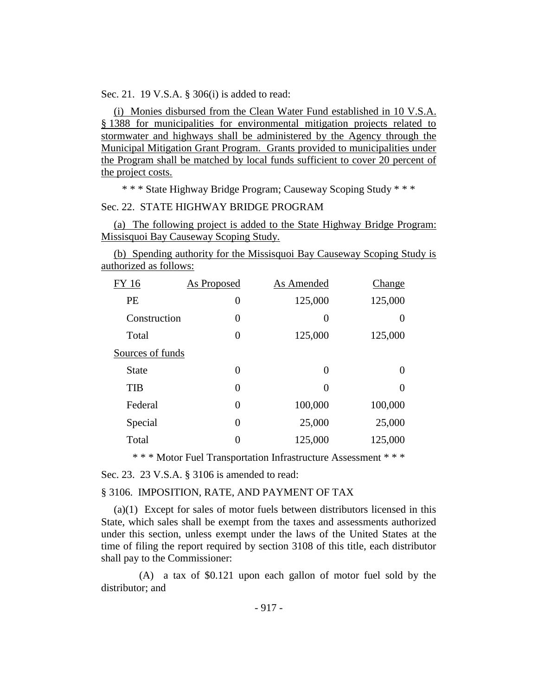Sec. 21. 19 V.S.A. § 306(i) is added to read:

(i) Monies disbursed from the Clean Water Fund established in 10 V.S.A. § 1388 for municipalities for environmental mitigation projects related to stormwater and highways shall be administered by the Agency through the Municipal Mitigation Grant Program. Grants provided to municipalities under the Program shall be matched by local funds sufficient to cover 20 percent of the project costs.

\* \* \* State Highway Bridge Program; Causeway Scoping Study \* \* \*

#### Sec. 22. STATE HIGHWAY BRIDGE PROGRAM

(a) The following project is added to the State Highway Bridge Program: Missisquoi Bay Causeway Scoping Study.

(b) Spending authority for the Missisquoi Bay Causeway Scoping Study is authorized as follows:

| FY 16            | <b>As Proposed</b> | As Amended | Change   |  |
|------------------|--------------------|------------|----------|--|
| <b>PE</b>        | $\theta$           | 125,000    | 125,000  |  |
| Construction     | 0                  | 0          |          |  |
| Total            | $\Omega$           | 125,000    | 125,000  |  |
| Sources of funds |                    |            |          |  |
| <b>State</b>     | 0                  | 0          | $\Omega$ |  |
| <b>TIB</b>       | 0                  | 0          | 0        |  |
| Federal          | 0                  | 100,000    | 100,000  |  |
| Special          | 0                  | 25,000     | 25,000   |  |
| Total            | 0                  | 125,000    | 125,000  |  |

\* \* \* Motor Fuel Transportation Infrastructure Assessment \* \* \*

Sec. 23. 23 V.S.A. § 3106 is amended to read:

#### § 3106. IMPOSITION, RATE, AND PAYMENT OF TAX

(a)(1) Except for sales of motor fuels between distributors licensed in this State, which sales shall be exempt from the taxes and assessments authorized under this section, unless exempt under the laws of the United States at the time of filing the report required by section 3108 of this title, each distributor shall pay to the Commissioner:

(A) a tax of \$0.121 upon each gallon of motor fuel sold by the distributor; and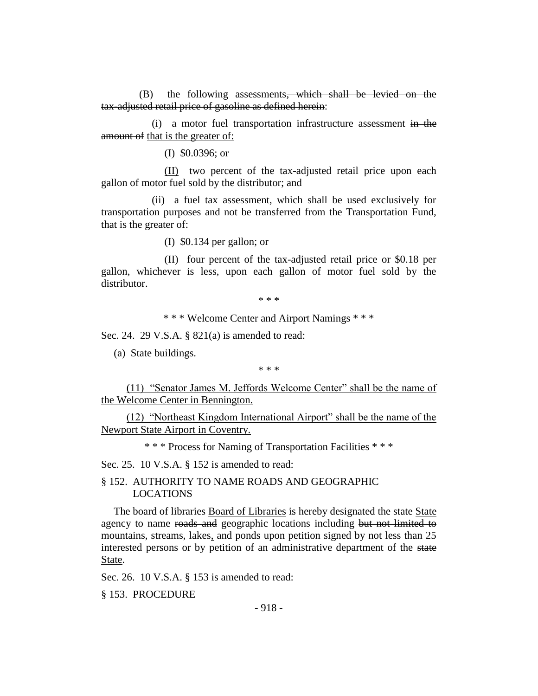(B) the following assessments<del>, which shall be levied on the</del> tax-adjusted retail price of gasoline as defined herein:

(i) a motor fuel transportation infrastructure assessment in the amount of that is the greater of:

(I) \$0.0396; or

(II) two percent of the tax-adjusted retail price upon each gallon of motor fuel sold by the distributor; and

(ii) a fuel tax assessment, which shall be used exclusively for transportation purposes and not be transferred from the Transportation Fund, that is the greater of:

(I) \$0.134 per gallon; or

(II) four percent of the tax-adjusted retail price or \$0.18 per gallon, whichever is less, upon each gallon of motor fuel sold by the distributor.

\* \* \*

\* \* \* Welcome Center and Airport Namings \* \* \*

Sec. 24. 29 V.S.A. § 821(a) is amended to read:

(a) State buildings.

\* \* \*

(11) "Senator James M. Jeffords Welcome Center" shall be the name of the Welcome Center in Bennington.

(12) "Northeast Kingdom International Airport" shall be the name of the Newport State Airport in Coventry.

\* \* \* Process for Naming of Transportation Facilities \* \* \*

Sec. 25. 10 V.S.A. § 152 is amended to read:

§ 152. AUTHORITY TO NAME ROADS AND GEOGRAPHIC LOCATIONS

The board of libraries Board of Libraries is hereby designated the state State agency to name roads and geographic locations including but not limited to mountains, streams, lakes, and ponds upon petition signed by not less than 25 interested persons or by petition of an administrative department of the state State.

Sec. 26. 10 V.S.A. § 153 is amended to read:

§ 153. PROCEDURE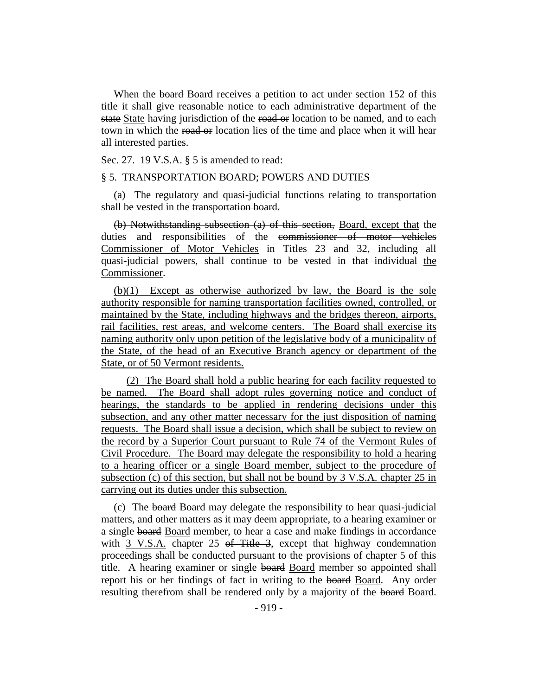When the board Board receives a petition to act under section 152 of this title it shall give reasonable notice to each administrative department of the state State having jurisdiction of the road or location to be named, and to each town in which the road or location lies of the time and place when it will hear all interested parties.

Sec. 27. 19 V.S.A. § 5 is amended to read:

#### § 5. TRANSPORTATION BOARD; POWERS AND DUTIES

(a) The regulatory and quasi-judicial functions relating to transportation shall be vested in the transportation board.

(b) Notwithstanding subsection (a) of this section, Board, except that the duties and responsibilities of the commissioner of motor vehicles Commissioner of Motor Vehicles in Titles 23 and 32, including all quasi-judicial powers, shall continue to be vested in that individual the Commissioner.

(b)(1) Except as otherwise authorized by law, the Board is the sole authority responsible for naming transportation facilities owned, controlled, or maintained by the State, including highways and the bridges thereon, airports, rail facilities, rest areas, and welcome centers. The Board shall exercise its naming authority only upon petition of the legislative body of a municipality of the State, of the head of an Executive Branch agency or department of the State, or of 50 Vermont residents.

(2) The Board shall hold a public hearing for each facility requested to be named. The Board shall adopt rules governing notice and conduct of hearings, the standards to be applied in rendering decisions under this subsection, and any other matter necessary for the just disposition of naming requests. The Board shall issue a decision, which shall be subject to review on the record by a Superior Court pursuant to Rule 74 of the Vermont Rules of Civil Procedure. The Board may delegate the responsibility to hold a hearing to a hearing officer or a single Board member, subject to the procedure of subsection (c) of this section, but shall not be bound by 3 V.S.A. chapter 25 in carrying out its duties under this subsection.

(c) The board Board may delegate the responsibility to hear quasi-judicial matters, and other matters as it may deem appropriate, to a hearing examiner or a single board Board member, to hear a case and make findings in accordance with 3 V.S.A. chapter 25 of Title 3, except that highway condemnation proceedings shall be conducted pursuant to the provisions of chapter 5 of this title. A hearing examiner or single board Board member so appointed shall report his or her findings of fact in writing to the board Board. Any order resulting therefrom shall be rendered only by a majority of the board Board.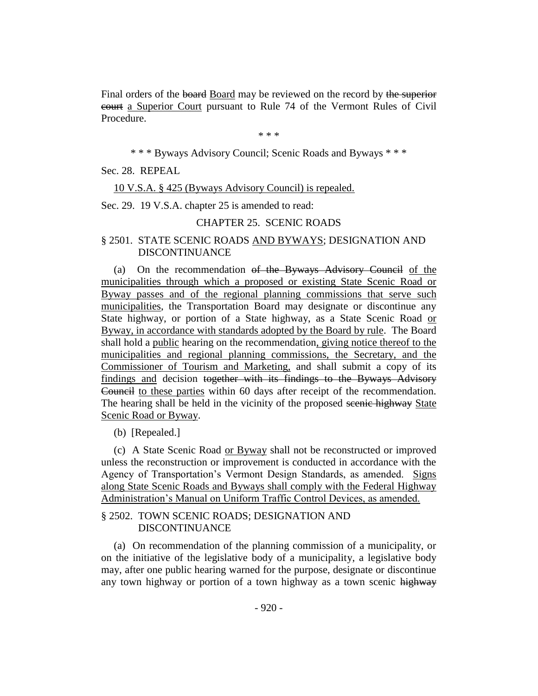Final orders of the board Board may be reviewed on the record by the superior court a Superior Court pursuant to Rule 74 of the Vermont Rules of Civil Procedure.

\* \* \*

\* \* \* Byways Advisory Council; Scenic Roads and Byways \* \* \*

Sec. 28. REPEAL

10 V.S.A. § 425 (Byways Advisory Council) is repealed.

Sec. 29. 19 V.S.A. chapter 25 is amended to read:

## CHAPTER 25. SCENIC ROADS

### § 2501. STATE SCENIC ROADS AND BYWAYS; DESIGNATION AND DISCONTINUANCE

(a) On the recommendation of the Byways Advisory Council of the municipalities through which a proposed or existing State Scenic Road or Byway passes and of the regional planning commissions that serve such municipalities, the Transportation Board may designate or discontinue any State highway, or portion of a State highway, as a State Scenic Road or Byway, in accordance with standards adopted by the Board by rule. The Board shall hold a public hearing on the recommendation, giving notice thereof to the municipalities and regional planning commissions, the Secretary, and the Commissioner of Tourism and Marketing, and shall submit a copy of its findings and decision together with its findings to the Byways Advisory Council to these parties within 60 days after receipt of the recommendation. The hearing shall be held in the vicinity of the proposed seenic highway State Scenic Road or Byway.

(b) [Repealed.]

(c) A State Scenic Road or Byway shall not be reconstructed or improved unless the reconstruction or improvement is conducted in accordance with the Agency of Transportation's Vermont Design Standards, as amended. Signs along State Scenic Roads and Byways shall comply with the Federal Highway Administration's Manual on Uniform Traffic Control Devices, as amended.

## § 2502. TOWN SCENIC ROADS; DESIGNATION AND DISCONTINUANCE

(a) On recommendation of the planning commission of a municipality, or on the initiative of the legislative body of a municipality, a legislative body may, after one public hearing warned for the purpose, designate or discontinue any town highway or portion of a town highway as a town scenic highway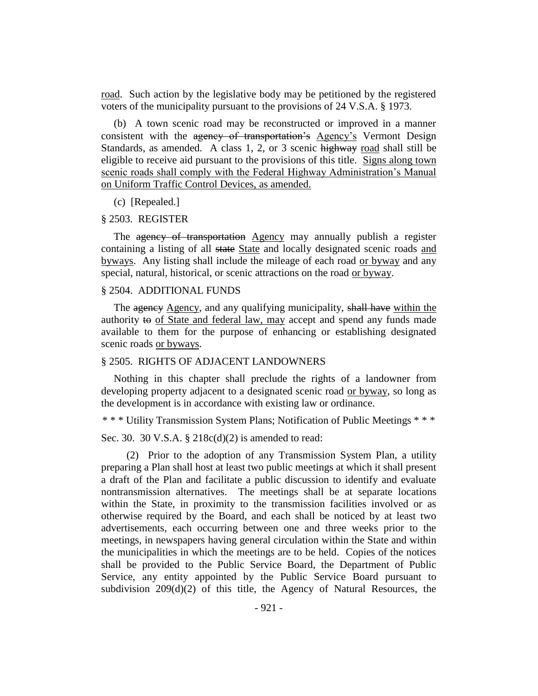road. Such action by the legislative body may be petitioned by the registered voters of the municipality pursuant to the provisions of 24 V.S.A. § 1973.

(b) A town scenic road may be reconstructed or improved in a manner consistent with the agency of transportation's Agency's Vermont Design Standards, as amended. A class 1, 2, or 3 scenic highway road shall still be eligible to receive aid pursuant to the provisions of this title. Signs along town scenic roads shall comply with the Federal Highway Administration's Manual on Uniform Traffic Control Devices, as amended.

#### (c) [Repealed.]

#### § 2503. REGISTER

The agency of transportation Agency may annually publish a register containing a listing of all state State and locally designated scenic roads and byways. Any listing shall include the mileage of each road or byway and any special, natural, historical, or scenic attractions on the road or byway.

#### § 2504. ADDITIONAL FUNDS

The agency Agency, and any qualifying municipality, shall have within the authority  $\leftrightarrow$  of State and federal law, may accept and spend any funds made available to them for the purpose of enhancing or establishing designated scenic roads or byways.

#### § 2505. RIGHTS OF ADJACENT LANDOWNERS

Nothing in this chapter shall preclude the rights of a landowner from developing property adjacent to a designated scenic road or byway, so long as the development is in accordance with existing law or ordinance.

\* \* \* Utility Transmission System Plans; Notification of Public Meetings \* \* \*

Sec. 30. 30 V.S.A. § 218c(d)(2) is amended to read:

(2) Prior to the adoption of any Transmission System Plan, a utility preparing a Plan shall host at least two public meetings at which it shall present a draft of the Plan and facilitate a public discussion to identify and evaluate nontransmission alternatives. The meetings shall be at separate locations within the State, in proximity to the transmission facilities involved or as otherwise required by the Board, and each shall be noticed by at least two advertisements, each occurring between one and three weeks prior to the meetings, in newspapers having general circulation within the State and within the municipalities in which the meetings are to be held. Copies of the notices shall be provided to the Public Service Board, the Department of Public Service, any entity appointed by the Public Service Board pursuant to subdivision 209(d)(2) of this title, the Agency of Natural Resources, the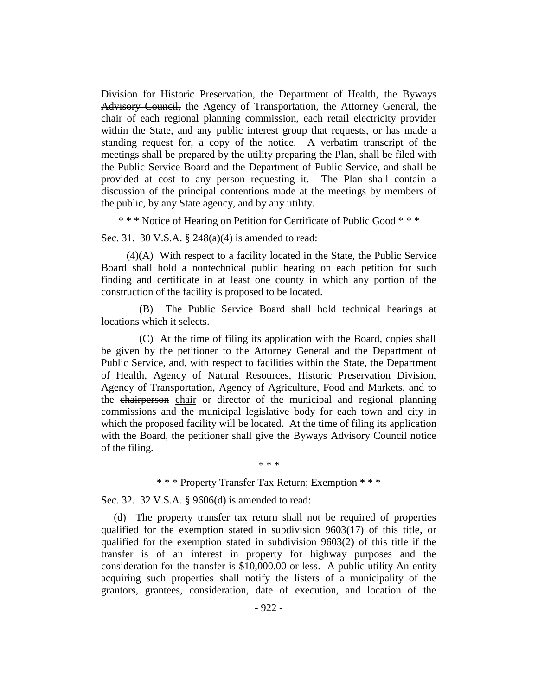Division for Historic Preservation, the Department of Health, the Byways Advisory Council, the Agency of Transportation, the Attorney General, the chair of each regional planning commission, each retail electricity provider within the State, and any public interest group that requests, or has made a standing request for, a copy of the notice. A verbatim transcript of the meetings shall be prepared by the utility preparing the Plan, shall be filed with the Public Service Board and the Department of Public Service, and shall be provided at cost to any person requesting it. The Plan shall contain a discussion of the principal contentions made at the meetings by members of the public, by any State agency, and by any utility.

\* \* \* Notice of Hearing on Petition for Certificate of Public Good \* \* \*

Sec. 31. 30 V.S.A. § 248(a)(4) is amended to read:

(4)(A) With respect to a facility located in the State, the Public Service Board shall hold a nontechnical public hearing on each petition for such finding and certificate in at least one county in which any portion of the construction of the facility is proposed to be located.

(B) The Public Service Board shall hold technical hearings at locations which it selects.

(C) At the time of filing its application with the Board, copies shall be given by the petitioner to the Attorney General and the Department of Public Service, and, with respect to facilities within the State, the Department of Health, Agency of Natural Resources, Historic Preservation Division, Agency of Transportation, Agency of Agriculture, Food and Markets, and to the chairperson chair or director of the municipal and regional planning commissions and the municipal legislative body for each town and city in which the proposed facility will be located. At the time of filing its application with the Board, the petitioner shall give the Byways Advisory Council notice of the filing.

\* \* \*

\* \* \* Property Transfer Tax Return; Exemption \* \* \*

Sec. 32. 32 V.S.A. § 9606(d) is amended to read:

(d) The property transfer tax return shall not be required of properties qualified for the exemption stated in subdivision  $9603(17)$  of this title, or qualified for the exemption stated in subdivision 9603(2) of this title if the transfer is of an interest in property for highway purposes and the consideration for the transfer is \$10,000.00 or less. A public utility An entity acquiring such properties shall notify the listers of a municipality of the grantors, grantees, consideration, date of execution, and location of the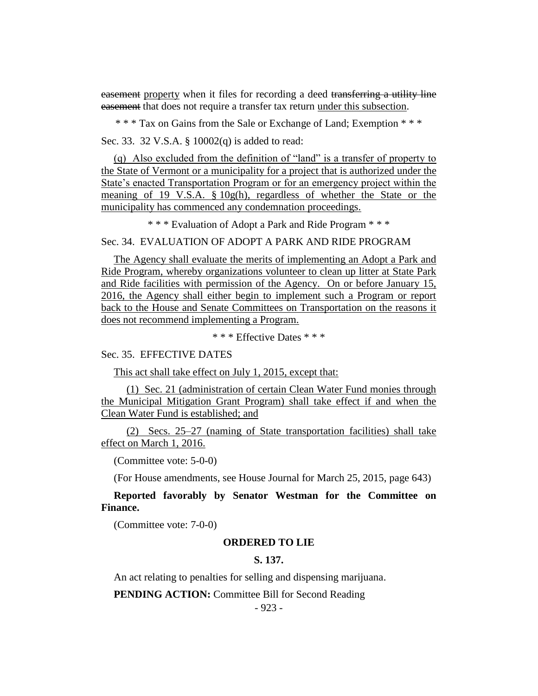easement property when it files for recording a deed transferring a utility line easement that does not require a transfer tax return under this subsection.

\* \* \* Tax on Gains from the Sale or Exchange of Land; Exemption \* \* \*

Sec. 33. 32 V.S.A. § 10002(q) is added to read:

(q) Also excluded from the definition of "land" is a transfer of property to the State of Vermont or a municipality for a project that is authorized under the State's enacted Transportation Program or for an emergency project within the meaning of 19 V.S.A. § 10g(h), regardless of whether the State or the municipality has commenced any condemnation proceedings.

\* \* \* Evaluation of Adopt a Park and Ride Program \* \* \*

## Sec. 34. EVALUATION OF ADOPT A PARK AND RIDE PROGRAM

The Agency shall evaluate the merits of implementing an Adopt a Park and Ride Program, whereby organizations volunteer to clean up litter at State Park and Ride facilities with permission of the Agency. On or before January 15, 2016, the Agency shall either begin to implement such a Program or report back to the House and Senate Committees on Transportation on the reasons it does not recommend implementing a Program.

\* \* \* Effective Dates \* \* \*

Sec. 35. EFFECTIVE DATES

This act shall take effect on July 1, 2015, except that:

(1) Sec. 21 (administration of certain Clean Water Fund monies through the Municipal Mitigation Grant Program) shall take effect if and when the Clean Water Fund is established; and

(2) Secs. 25–27 (naming of State transportation facilities) shall take effect on March 1, 2016.

(Committee vote: 5-0-0)

(For House amendments, see House Journal for March 25, 2015, page 643)

**Reported favorably by Senator Westman for the Committee on Finance.**

(Committee vote: 7-0-0)

#### **ORDERED TO LIE**

## **S. 137.**

An act relating to penalties for selling and dispensing marijuana.

**PENDING ACTION:** Committee Bill for Second Reading

- 923 -